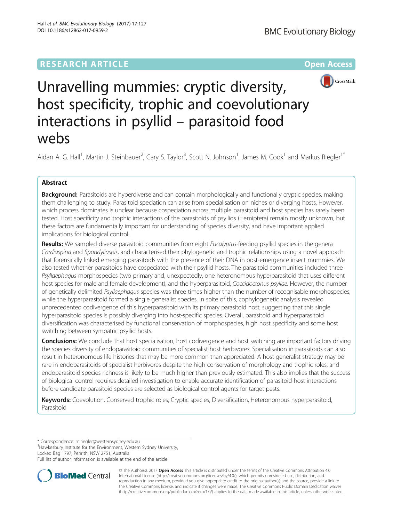# **RESEARCH ARTICLE Example 2014 The Community Community Community Community Community Community Community Community**



Unravelling mummies: cryptic diversity, host specificity, trophic and coevolutionary interactions in psyllid – parasitoid food webs

Aidan A. G. Hall<sup>1</sup>, Martin J. Steinbauer<sup>2</sup>, Gary S. Taylor<sup>3</sup>, Scott N. Johnson<sup>1</sup>, James M. Cook<sup>1</sup> and Markus Riegler<sup>1\*</sup>

## Abstract

Background: Parasitoids are hyperdiverse and can contain morphologically and functionally cryptic species, making them challenging to study. Parasitoid speciation can arise from specialisation on niches or diverging hosts. However, which process dominates is unclear because cospeciation across multiple parasitoid and host species has rarely been tested. Host specificity and trophic interactions of the parasitoids of psyllids (Hemiptera) remain mostly unknown, but these factors are fundamentally important for understanding of species diversity, and have important applied implications for biological control.

Results: We sampled diverse parasitoid communities from eight Eucalyptus-feeding psyllid species in the genera Cardiaspina and Spondyliaspis, and characterised their phylogenetic and trophic relationships using a novel approach that forensically linked emerging parasitoids with the presence of their DNA in post-emergence insect mummies. We also tested whether parasitoids have cospeciated with their psyllid hosts. The parasitoid communities included three Psyllaephagus morphospecies (two primary and, unexpectedly, one heteronomous hyperparasitoid that uses different host species for male and female development), and the hyperparasitoid, Coccidoctonus psyllae. However, the number of genetically delimited Psyllaephagus species was three times higher than the number of recognisable morphospecies, while the hyperparasitoid formed a single generalist species. In spite of this, cophylogenetic analysis revealed unprecedented codivergence of this hyperparasitoid with its primary parasitoid host, suggesting that this single hyperparasitoid species is possibly diverging into host-specific species. Overall, parasitoid and hyperparasitoid diversification was characterised by functional conservation of morphospecies, high host specificity and some host switching between sympatric psyllid hosts.

Conclusions: We conclude that host specialisation, host codivergence and host switching are important factors driving the species diversity of endoparasitoid communities of specialist host herbivores. Specialisation in parasitoids can also result in heteronomous life histories that may be more common than appreciated. A host generalist strategy may be rare in endoparasitoids of specialist herbivores despite the high conservation of morphology and trophic roles, and endoparasitoid species richness is likely to be much higher than previously estimated. This also implies that the success of biological control requires detailed investigation to enable accurate identification of parasitoid-host interactions before candidate parasitoid species are selected as biological control agents for target pests.

Keywords: Coevolution, Conserved trophic roles, Cryptic species, Diversification, Heteronomous hyperparasitoid, Parasitoid

\* Correspondence: [m.riegler@westernsydney.edu.au](mailto:m.riegler@westernsydney.edu.au) <sup>1</sup>

<sup>1</sup> Hawkesbury Institute for the Environment, Western Sydney University, Locked Bag 1797, Penrith, NSW 2751, Australia

Full list of author information is available at the end of the article



© The Author(s). 2017 **Open Access** This article is distributed under the terms of the Creative Commons Attribution 4.0 International License [\(http://creativecommons.org/licenses/by/4.0/](http://creativecommons.org/licenses/by/4.0/)), which permits unrestricted use, distribution, and reproduction in any medium, provided you give appropriate credit to the original author(s) and the source, provide a link to the Creative Commons license, and indicate if changes were made. The Creative Commons Public Domain Dedication waiver [\(http://creativecommons.org/publicdomain/zero/1.0/](http://creativecommons.org/publicdomain/zero/1.0/)) applies to the data made available in this article, unless otherwise stated.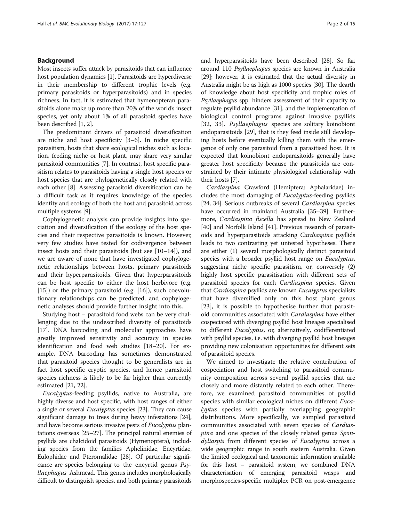## Background

Most insects suffer attack by parasitoids that can influence host population dynamics [\[1\]](#page-13-0). Parasitoids are hyperdiverse in their membership to different trophic levels (e.g. primary parasitoids or hyperparasitoids) and in species richness. In fact, it is estimated that hymenopteran parasitoids alone make up more than 20% of the world's insect species, yet only about 1% of all parasitoid species have been described [\[1, 2](#page-13-0)].

The predominant drivers of parasitoid diversification are niche and host specificity [\[3](#page-13-0)–[6\]](#page-13-0). In niche specific parasitism, hosts that share ecological niches such as location, feeding niche or host plant, may share very similar parasitoid communities [\[7](#page-13-0)]. In contrast, host specific parasitism relates to parasitoids having a single host species or host species that are phylogenetically closely related with each other [\[8](#page-13-0)]. Assessing parasitoid diversification can be a difficult task as it requires knowledge of the species identity and ecology of both the host and parasitoid across multiple systems [\[9](#page-13-0)].

Cophylogenetic analysis can provide insights into speciation and diversification if the ecology of the host species and their respective parasitoids is known. However, very few studies have tested for codivergence between insect hosts and their parasitoids (but see [[10](#page-13-0)–[14](#page-13-0)]), and we are aware of none that have investigated cophylogenetic relationships between hosts, primary parasitoids and their hyperparasitoids. Given that hyperparasitoids can be host specific to either the host herbivore (e.g.  $[15]$  $[15]$ ) or the primary parasitoid (e.g.  $[16]$ ), such coevolutionary relationships can be predicted, and cophylogenetic analyses should provide further insight into this.

Studying host – parasitoid food webs can be very challenging due to the undescribed diversity of parasitoids [[17\]](#page-13-0). DNA barcoding and molecular approaches have greatly improved sensitivity and accuracy in species identification and food web studies [\[18](#page-13-0)–[20\]](#page-13-0). For example, DNA barcoding has sometimes demonstrated that parasitoid species thought to be generalists are in fact host specific cryptic species, and hence parasitoid species richness is likely to be far higher than currently estimated [\[21, 22\]](#page-13-0).

Eucalyptus-feeding psyllids, native to Australia, are highly diverse and host specific, with host ranges of either a single or several Eucalyptus species [\[23\]](#page-13-0). They can cause significant damage to trees during heavy infestations [\[24](#page-13-0)], and have become serious invasive pests of *Eucalyptus* plantations overseas [\[25](#page-13-0)–[27\]](#page-13-0). The principal natural enemies of psyllids are chalcidoid parasitoids (Hymenoptera), including species from the families Aphelinidae, Encyrtidae, Eulophidae and Pteromalidae [[28](#page-13-0)]. Of particular significance are species belonging to the encyrtid genus Psyllaephagus Ashmead. This genus includes morphologically difficult to distinguish species, and both primary parasitoids and hyperparasitoids have been described [\[28\]](#page-13-0). So far, around 110 Psyllaephagus species are known in Australia [[29](#page-13-0)]; however, it is estimated that the actual diversity in Australia might be as high as 1000 species [\[30\]](#page-13-0). The dearth of knowledge about host specificity and trophic roles of Psyllaephagus spp. hinders assessment of their capacity to regulate psyllid abundance [\[31\]](#page-13-0), and the implementation of biological control programs against invasive psyllids [[32, 33](#page-13-0)]. Psyllaephagus species are solitary koinobiont endoparasitoids [[29](#page-13-0)], that is they feed inside still developing hosts before eventually killing them with the emergence of only one parasitoid from a parasitised host. It is expected that koinobiont endoparasitoids generally have greater host specificity because the parasitoids are constrained by their intimate physiological relationship with their hosts [[7](#page-13-0)].

Cardiaspina Crawford (Hemiptera: Aphalaridae) includes the most damaging of Eucalyptus-feeding psyllids [[24](#page-13-0), [34](#page-13-0)]. Serious outbreaks of several Cardiaspina species have occurred in mainland Australia [[35](#page-13-0)–[39\]](#page-14-0). Furthermore, Cardiaspina fiscella has spread to New Zealand [[40](#page-14-0)] and Norfolk Island [\[41\]](#page-14-0). Previous research of parasitoids and hyperparasitoids attacking Cardiaspina psyllids leads to two contrasting yet untested hypotheses. There are either (1) several morphologically distinct parasitoid species with a broader psyllid host range on *Eucalyptus*, suggesting niche specific parasitism, or, conversely (2) highly host specific parasitisation with different sets of parasitoid species for each Cardiaspina species. Given that Cardiaspina psyllids are known Eucalyptus specialists that have diversified only on this host plant genus [[23](#page-13-0)], it is possible to hypothesise further that parasitoid communities associated with Cardiaspina have either cospeciated with diverging psyllid host lineages specialised to different *Eucalyptus*, or, alternatively, codifferentiated with psyllid species, i.e. with diverging psyllid host lineages providing new colonisation opportunities for different sets of parasitoid species.

We aimed to investigate the relative contribution of cospeciation and host switching to parasitoid community composition across several psyllid species that are closely and more distantly related to each other. Therefore, we examined parasitoid communities of psyllid species with similar ecological niches on different *Euca*lyptus species with partially overlapping geographic distributions. More specifically, we sampled parasitoid communities associated with seven species of Cardiaspina and one species of the closely related genus Spondyliaspis from different species of *Eucalyptus* across a wide geographic range in south eastern Australia. Given the limited ecological and taxonomic information available for this host – parasitoid system, we combined DNA characterisation of emerging parasitoid wasps and morphospecies-specific multiplex PCR on post-emergence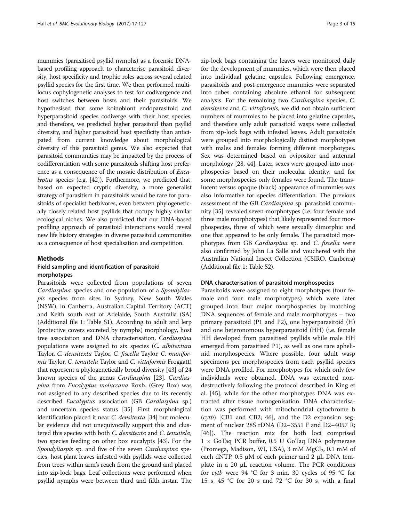mummies (parasitised psyllid nymphs) as a forensic DNAbased profiling approach to characterise parasitoid diversity, host specificity and trophic roles across several related psyllid species for the first time. We then performed multilocus cophylogenetic analyses to test for codivergence and host switches between hosts and their parasitoids. We hypothesised that some koinobiont endoparasitoid and hyperparasitoid species codiverge with their host species, and therefore, we predicted higher parasitoid than psyllid diversity, and higher parasitoid host specificity than anticipated from current knowledge about morphological diversity of this parasitoid genus. We also expected that parasitoid communities may be impacted by the process of codifferentiation with some parasitoids shifting host preference as a consequence of the mosaic distribution of Eucalyptus species (e.g. [[42](#page-14-0)]). Furthermore, we predicted that, based on expected cryptic diversity, a more generalist strategy of parasitism in parasitoids would be rare for parasitoids of specialist herbivores, even between phylogenetically closely related host psyllids that occupy highly similar ecological niches. We also predicted that our DNA-based profiling approach of parasitoid interactions would reveal new life history strategies in diverse parasitoid communities as a consequence of host specialisation and competition.

## Methods

## Field sampling and identification of parasitoid morphotypes

Parasitoids were collected from populations of seven Cardiaspina species and one population of a Spondyliaspis species from sites in Sydney, New South Wales (NSW), in Canberra, Australian Capital Territory (ACT) and Keith south east of Adelaide, South Australia (SA) (Additional file [1](#page-12-0): Table S1). According to adult and lerp (protective covers excreted by nymphs) morphology, host tree association and DNA characterisation, Cardiaspina populations were assigned to six species (C. albitextura Taylor, C. densitexta Taylor, C. fiscella Taylor, C. maniformis Taylor, C. tenuitela Taylor and C. vittaformis Froggatt) that represent a phylogenetically broad diversity [[43](#page-14-0)] of 24 known species of the genus Cardiaspina [\[23\]](#page-13-0). Cardiaspina from Eucalyptus moluccana Roxb. (Grey Box) was not assigned to any described species due to its recently described Eucalyptus association (GB Cardiaspina sp.) and uncertain species status [[35\]](#page-13-0). First morphological identification placed it near *C. densitexta* [\[34\]](#page-13-0) but molecular evidence did not unequivocally support this and clustered this species with both C. densitexta and C. tenuitela, two species feeding on other box eucalypts [[43](#page-14-0)]. For the Spondyliaspis sp. and five of the seven Cardiaspina species, host plant leaves infested with psyllids were collected from trees within arm's reach from the ground and placed into zip-lock bags. Leaf collections were performed when psyllid nymphs were between third and fifth instar. The zip-lock bags containing the leaves were monitored daily for the development of mummies, which were then placed into individual gelatine capsules. Following emergence, parasitoids and post-emergence mummies were separated into tubes containing absolute ethanol for subsequent analysis. For the remaining two Cardiaspina species, C. densitexta and C. vittaformis, we did not obtain sufficient numbers of mummies to be placed into gelatine capsules, and therefore only adult parasitoid wasps were collected from zip-lock bags with infested leaves. Adult parasitoids were grouped into morphologically distinct morphotypes with males and females forming different morphotypes. Sex was determined based on ovipositor and antennal morphology [\[28](#page-13-0), [44\]](#page-14-0). Later, sexes were grouped into morphospecies based on their molecular identity, and for some morphospecies only females were found. The translucent versus opaque (black) appearance of mummies was also informative for species differentiation. The previous assessment of the GB Cardiaspina sp. parasitoid community [\[35\]](#page-13-0) revealed seven morphotypes (i.e. four female and three male morphotypes) that likely represented four morphospecies, three of which were sexually dimorphic and one that appeared to be only female. The parasitoid morphotypes from GB Cardiaspina sp. and C. fiscella were also confirmed by John La Salle and vouchered with the Australian National Insect Collection (CSIRO, Canberra) (Additional file [1](#page-12-0): Table S2).

#### DNA characterisation of parasitoid morphospecies

Parasitoids were assigned to eight morphotypes (four female and four male morphotypes) which were later grouped into four major morphospecies by matching DNA sequences of female and male morphotypes – two primary parasitoid (P1 and P2), one hyperparasitoid (H) and one heteronomous hyperparasitoid (HH) (i.e. female HH developed from parasitised psyllids while male HH emerged from parasitised P1), as well as one rare aphelinid morphospecies. Where possible, four adult wasp specimens per morphospecies from each psyllid species were DNA profiled. For morphotypes for which only few individuals were obtained, DNA was extracted nondestructively following the protocol described in King et al. [[45\]](#page-14-0), while for the other morphotypes DNA was extracted after tissue homogenisation. DNA characterisation was performed with mitochondrial cytochrome b  $(cytb)$  [CB1 and CB2; 46], and the D2 expansion segment of nuclear 28S rDNA (D2–3551 F and D2–4057 R; [[46\]](#page-14-0)). The reaction mix for both loci comprised 1 × GoTaq PCR buffer, 0.5 U GoTaq DNA polymerase (Promega, Madison, WI, USA), 3 mM  $MgCl<sub>2</sub>$ , 0.1 mM of each dNTP,  $0.5 \mu M$  of each primer and 2  $\mu$ L DNA template in a 20 μL reaction volume. The PCR conditions for cytb were 94 °C for 3 min, 30 cycles of 95 °C for 15 s, 45 °C for 20 s and 72 °C for 30 s, with a final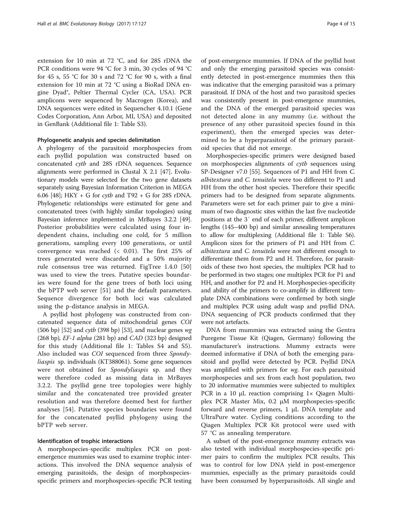extension for 10 min at 72 °C, and for 28S rDNA the PCR conditions were 94 °C for 3 min, 30 cycles of 94 °C for 45 s, 55 °C for 30 s and 72 °C for 90 s, with a final extension for 10 min at 72 °C using a BioRad DNA engine Dyad®, Peltier Thermal Cycler (CA, USA). PCR amplicons were sequenced by Macrogen (Korea), and DNA sequences were edited in Sequencher 4.10.1 (Gene Codes Corporation, Ann Arbor, MI, USA) and deposited in GenBank (Additional file [1:](#page-12-0) Table S3).

#### Phylogenetic analysis and species delimitation

A phylogeny of the parasitoid morphospecies from each psyllid population was constructed based on concatenated cytb and 28S rDNA sequences. Sequence alignments were performed in Clustal X 2.1 [[47\]](#page-14-0). Evolutionary models were selected for the two gene datasets separately using Bayesian Information Criterion in MEGA 6.06 [[48](#page-14-0)]; HKY + G for cytb and T92 + G for 28S rDNA. Phylogenetic relationships were estimated for gene and concatenated trees (with highly similar topologies) using Bayesian inference implemented in MrBayes 3.2.2 [[49](#page-14-0)]. Posterior probabilities were calculated using four independent chains, including one cold, for 5 million generations, sampling every 100 generations, or until convergence was reached (< 0.01). The first 25% of trees generated were discarded and a 50% majority rule consensus tree was returned. FigTree 1.4.0 [\[50](#page-14-0)] was used to view the trees. Putative species boundaries were found for the gene trees of both loci using the bPTP web server [[51](#page-14-0)] and the default parameters. Sequence divergence for both loci was calculated using the p-distance analysis in MEGA.

A psyllid host phylogeny was constructed from concatenated sequence data of mitochondrial genes COI (506 bp) [\[52\]](#page-14-0) and  $cytb$  (398 bp) [\[53](#page-14-0)], and nuclear genes  $wg$ (268 bp), EF-1 alpha (281 bp) and CAD (323 bp) designed for this study (Additional file [1:](#page-12-0) Tables S4 and S5). Also included was COI sequenced from three Spondyliaspis sp. individuals (KT388061). Some gene sequences were not obtained for Spondyliaspis sp. and they were therefore coded as missing data in MrBayes 3.2.2. The psyllid gene tree topologies were highly similar and the concatenated tree provided greater resolution and was therefore deemed best for further analyses [[54\]](#page-14-0). Putative species boundaries were found for the concatenated psyllid phylogeny using the bPTP web server.

#### Identification of trophic interactions

A morphospecies-specific multiplex PCR on postemergence mummies was used to examine trophic interactions. This involved the DNA sequence analysis of emerging parasitoids, the design of morphospeciesspecific primers and morphospecies-specific PCR testing

of post-emergence mummies. If DNA of the psyllid host and only the emerging parasitoid species was consistently detected in post-emergence mummies then this was indicative that the emerging parasitoid was a primary parasitoid. If DNA of the host and two parasitoid species was consistently present in post-emergence mummies, and the DNA of the emerged parasitoid species was not detected alone in any mummy (i.e. without the presence of any other parasitoid species found in this experiment), then the emerged species was determined to be a hyperparasitoid of the primary parasitoid species that did not emerge.

Morphospecies-specific primers were designed based on morphospecies alignments of cytb sequences using SP-Designer v7.0 [\[55](#page-14-0)]. Sequences of P1 and HH from C. albitextura and C. tenuitela were too different to P1 and HH from the other host species. Therefore their specific primers had to be designed from separate alignments. Parameters were set for each primer pair to give a minimum of two diagnostic sites within the last five nucleotide positions at the 3′ end of each primer, different amplicon lengths (145–400 bp) and similar annealing temperatures to allow for multiplexing (Additional file [1](#page-12-0): Table S6). Amplicon sizes for the primers of P1 and HH from C. albitextura and C. tenuitela were not different enough to differentiate them from P2 and H. Therefore, for parasitoids of these two host species, the multiplex PCR had to be performed in two stages; one multiplex PCR for P1 and HH, and another for P2 and H. Morphospecies-specificity and ability of the primers to co-amplify in different template DNA combinations were confirmed by both single and multiplex PCR using adult wasp and psyllid DNA. DNA sequencing of PCR products confirmed that they were not artefacts.

DNA from mummies was extracted using the Gentra Puregene Tissue Kit (Qiagen, Germany) following the manufacturer's instructions. Mummy extracts were deemed informative if DNA of both the emerging parasitoid and psyllid were detected by PCR. Psyllid DNA was amplified with primers for wg. For each parasitoid morphospecies and sex from each host population, two to 20 informative mummies were subjected to multiplex PCR in a 10 μL reaction comprising 1× Qiagen Multiplex PCR Master Mix, 0.2 μM morphospecies-specific forward and reverse primers, 1 μL DNA template and UltraPure water. Cycling conditions according to the Qiagen Multiplex PCR Kit protocol were used with 57 °C as annealing temperature.

A subset of the post-emergence mummy extracts was also tested with individual morphospecies-specific primer pairs to confirm the multiplex PCR results. This was to control for low DNA yield in post-emergence mummies, especially as the primary parasitoids could have been consumed by hyperparasitoids. All single and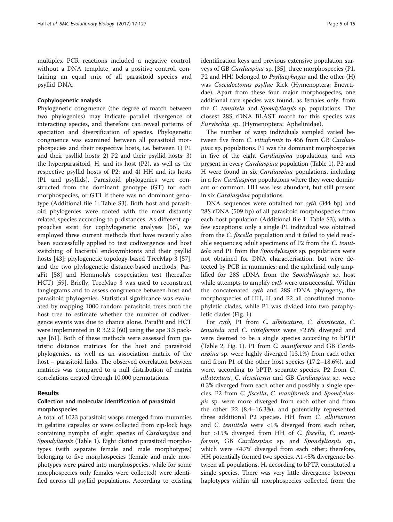multiplex PCR reactions included a negative control, without a DNA template, and a positive control, containing an equal mix of all parasitoid species and psyllid DNA.

### Cophylogenetic analysis

Phylogenetic congruence (the degree of match between two phylogenies) may indicate parallel divergence of interacting species, and therefore can reveal patterns of speciation and diversification of species. Phylogenetic congruence was examined between all parasitoid morphospecies and their respective hosts, i.e. between 1) P1 and their psyllid hosts; 2) P2 and their psyllid hosts; 3) the hyperparasitoid, H, and its host (P2), as well as the respective psyllid hosts of P2; and 4) HH and its hosts (P1 and psyllids). Parasitoid phylogenies were constructed from the dominant genotype (GT) for each morphospecies, or GT1 if there was no dominant genotype (Additional file [1:](#page-12-0) Table S3). Both host and parasitoid phylogenies were rooted with the most distantly related species according to p-distances. As different approaches exist for cophylogenetic analyses [[56\]](#page-14-0), we employed three current methods that have recently also been successfully applied to test codivergence and host switching of bacterial endosymbionts and their psyllid hosts [\[43](#page-14-0)]: phylogenetic topology-based TreeMap 3 [\[57](#page-14-0)], and the two phylogenetic distance-based methods, ParaFit [\[58](#page-14-0)] and Hommola's cospeciation test (hereafter HCT) [\[59\]](#page-14-0). Briefly, TreeMap 3 was used to reconstruct tanglegrams and to assess congruence between host and parasitoid phylogenies. Statistical significance was evaluated by mapping 1000 random parasitoid trees onto the host tree to estimate whether the number of codivergence events was due to chance alone. ParaFit and HCT were implemented in R 3.2.2 [\[60](#page-14-0)] using the ape 3.3 package [[61\]](#page-14-0). Both of these methods were assessed from patristic distance matrices for the host and parasitoid phylogenies, as well as an association matrix of the host – parasitoid links. The observed correlation between matrices was compared to a null distribution of matrix correlations created through 10,000 permutations.

## Results

## Collection and molecular identification of parasitoid morphospecies

A total of 1023 parasitoid wasps emerged from mummies in gelatine capsules or were collected from zip-lock bags containing nymphs of eight species of Cardiaspina and Spondyliaspis (Table [1\)](#page-5-0). Eight distinct parasitoid morphotypes (with separate female and male morphotypes) belonging to five morphospecies (female and male morphotypes were paired into morphospecies, while for some morphospecies only females were collected) were identified across all psyllid populations. According to existing identification keys and previous extensive population surveys of GB Cardiaspina sp. [[35](#page-13-0)], three morphospecies (P1, P2 and HH) belonged to *Psyllaephagus* and the other (H) was Coccidoctonus psyllae Riek (Hymenoptera: Encyrtidae). Apart from these four major morphospecies, one additional rare species was found, as females only, from the C. tenuitela and Spondyliaspis sp. populations. The closest 28S rDNA BLAST match for this species was Euryischia sp. (Hymenoptera: Aphelinidae).

The number of wasp individuals sampled varied between five from C. vittaformis to 456 from GB Cardiaspina sp. populations. P1 was the dominant morphospecies in five of the eight Cardiaspina populations, and was present in every *Cardiaspina* population (Table [1\)](#page-5-0). P2 and H were found in six Cardiaspina populations, including in a few Cardiaspina populations where they were dominant or common. HH was less abundant, but still present in six Cardiaspina populations.

DNA sequences were obtained for *cytb* (344 bp) and 28S rDNA (509 bp) of all parasitoid morphospecies from each host population (Additional file [1](#page-12-0): Table S3), with a few exceptions: only a single P1 individual was obtained from the C. fiscella population and it failed to yield readable sequences; adult specimens of P2 from the *C. tenui*tela and P1 from the Spondyliaspis sp. populations were not obtained for DNA characterisation, but were detected by PCR in mummies; and the aphelinid only amplified for 28S rDNA from the Spondyliaspis sp. host while attempts to amplify cytb were unsuccessful. Within the concatenated cytb and 28S rDNA phylogeny, the morphospecies of HH, H and P2 all constituted monophyletic clades, while P1 was divided into two paraphyletic clades (Fig. [1\)](#page-5-0).

For cytb, P1 from C. albitextura, C. densitexta, C. tenuitela and C. vittaformis were  $\leq 2.6\%$  diverged and were deemed to be a single species according to bPTP (Table [2,](#page-6-0) Fig. [1](#page-5-0)). P1 from C. maniformis and GB Cardiaspina sp. were highly diverged (13.1%) from each other and from P1 of the other host species (17.2–18.6%), and were, according to bPTP, separate species. P2 from C. albitextura, C. densitexta and GB Cardiaspina sp. were 0.3% diverged from each other and possibly a single species. P2 from C. fiscella, C. maniformis and Spondyliaspis sp. were more diverged from each other and from the other P2 (8.4–16.3%), and potentially represented three additional P2 species. HH from C. albitextura and C. tenuitela were <1% diverged from each other, but >15% diverged from HH of C. fiscella, C. maniformis, GB Cardiaspina sp. and Spondyliaspis sp., which were ≤4.7% diverged from each other; therefore, HH potentially formed two species. At <5% divergence between all populations, H, according to bPTP, constituted a single species. There was very little divergence between haplotypes within all morphospecies collected from the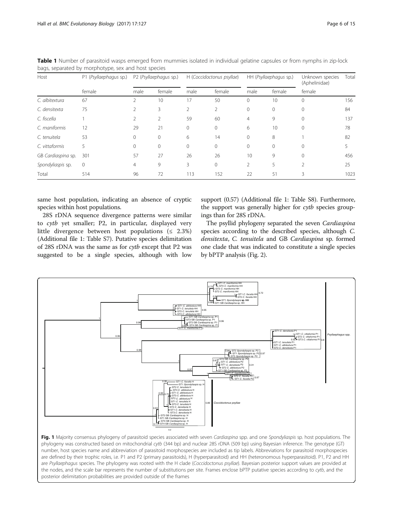| Host               | P1 (Psyllaephagus sp.)<br>female | P2 (Psyllaephagus sp.) |              | H (Coccidoctonus psyllae) |        | HH (Psyllaephagus sp.) |              | Unknown species<br>(Aphelinidae) | Total |
|--------------------|----------------------------------|------------------------|--------------|---------------------------|--------|------------------------|--------------|----------------------------------|-------|
|                    |                                  | male                   | female       | male                      | female | male                   | female       | female                           |       |
| C. albitextura     | 67                               |                        | 10           | 17                        | 50     | $\mathbf 0$            | 10           |                                  | 156   |
| C. densitexta      | 75                               |                        | 3            | 2                         | 2      | $\mathbf 0$            | $\mathbf{0}$ |                                  | 84    |
| C. fiscella        |                                  |                        | 2            | 59                        | 60     | $\overline{4}$         | 9            |                                  | 137   |
| C. maniformis      | 12                               | 29                     | 21           | 0                         | 0      | 6                      | 10           |                                  | 78    |
| C. tenuitela       | 53                               | $\Omega$               | $\mathbf{0}$ | 6                         | 14     | $\mathbf 0$            | 8            |                                  | 82    |
| C. vittaformis     | 5                                |                        | $\mathbf{0}$ | $\Omega$                  | 0      | $\mathbf{0}$           | $\mathbf{0}$ |                                  |       |
| GB Cardiaspina sp. | 301                              | 57                     | 27           | 26                        | 26     | 10                     | 9            |                                  | 456   |
| Spondyliaspis sp.  | $\mathbf{0}$                     | 4                      | 9            | 3                         | 0      |                        | 5            |                                  | 25    |
| Total              | 514                              | 96                     | 72           | 113                       | 152    | 22                     | 51           |                                  | 1023  |

<span id="page-5-0"></span>Table 1 Number of parasitoid wasps emerged from mummies isolated in individual gelatine capsules or from nymphs in zip-lock bags, separated by morphotype, sex and host species

same host population, indicating an absence of cryptic species within host populations.

28S rDNA sequence divergence patterns were similar to cytb yet smaller; P2, in particular, displayed very little divergence between host populations ( $\leq$  2.3%) (Additional file [1:](#page-12-0) Table S7). Putative species delimitation of 28S rDNA was the same as for cytb except that P2 was suggested to be a single species, although with low

support (0.57) (Additional file [1:](#page-12-0) Table S8). Furthermore, the support was generally higher for cytb species groupings than for 28S rDNA.

The psyllid phylogeny separated the seven Cardiaspina species according to the described species, although C. densitexta, C. tenuitela and GB Cardiaspina sp. formed one clade that was indicated to constitute a single species by bPTP analysis (Fig. [2\)](#page-7-0).



Fig. 1 Majority consensus phylogeny of parasitoid species associated with seven Cardiaspina spp. and one Spondyliaspis sp. host populations. The phylogeny was constructed based on mitochondrial cytb (344 bp) and nuclear 28S rDNA (509 bp) using Bayesian inference. The genotype (GT) number, host species name and abbreviation of parasitoid morphospecies are included as tip labels. Abbreviations for parasitoid morphospecies are defined by their trophic roles, i.e. P1 and P2 (primary parasitoids), H (hyperparasitoid) and HH (heteronomous hyperparasitoid). P1, P2 and HH are Psyllaephagus species. The phylogeny was rooted with the H clade (Coccidoctonus psyllae). Bayesian posterior support values are provided at the nodes, and the scale bar represents the number of substitutions per site. Frames enclose bPTP putative species according to cytb, and the posterior delimitation probabilities are provided outside of the frames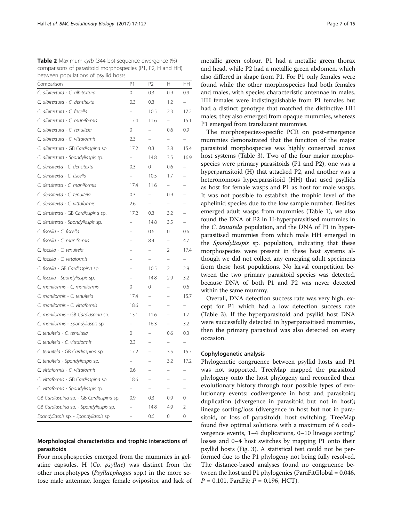<span id="page-6-0"></span>

| <b>Table 2</b> Maximum cytb (344 bp) sequence divergence (%) |
|--------------------------------------------------------------|
| comparisons of parasitoid morphospecies (P1, P2, H and HH)   |
| between populations of psyllid hosts                         |

| Comparison                              | P1                       | P <sub>2</sub>           | Н                        | HH.                      |
|-----------------------------------------|--------------------------|--------------------------|--------------------------|--------------------------|
| C. albitextura - C. albitextura         | 0                        | 0.3                      | 0.9                      | 0.9                      |
| C. albitextura - C. densitexta          | 0.3                      | 0.3                      | 1.2                      |                          |
| C. albitextura - C. fiscella            |                          | 10.5                     | 2.3                      | 17.2                     |
| C. albitextura - C. maniformis          | 17.4                     | 11.6                     | $\overline{\phantom{0}}$ | 15.1                     |
| C. albitextura - C. tenuitela           | 0                        | $\overline{\phantom{0}}$ | 0.6                      | 0.9                      |
| C. albitextura - C. vittaformis         | 2.3                      | $\overline{\phantom{0}}$ | $\equiv$                 | ÷,                       |
| C. albitextura - GB Cardiaspina sp.     | 17.2                     | 0.3                      | 3.8                      | 15.4                     |
| C. albitextura - Spondyliaspis sp.      | $\overline{\phantom{0}}$ | 14.8                     | 3.5                      | 16.9                     |
| C. densitexta - C. densitexta           | 0.3                      | 0                        | 0.6                      |                          |
| C. densitexta - C. fiscella             |                          | 10.5                     | 1.7                      |                          |
| C. densitexta - C. maniformis           | 17.4                     | 11.6                     | $\overline{\phantom{0}}$ |                          |
| C. densitexta - C. tenuitela            | 0.3                      | $\overline{a}$           | 0.9                      |                          |
| C. densitexta - C. vittaformis          | 2.6                      | $\overline{\phantom{0}}$ | $\equiv$                 |                          |
| C. densitexta - GB Cardiaspina sp.      | 17.2                     | 0.3                      | 3.2                      |                          |
| C. densitexta - Spondyliaspis sp.       | -                        | 14.8                     | 3.5                      | -                        |
| C. fiscella - C. fiscella               |                          | 0.6                      | 0                        | 0.6                      |
| C. fiscella - C. maniformis             |                          | 8.4                      | $\overline{a}$           | 4.7                      |
| C. fiscella - C. tenuitela              |                          | $\overline{\phantom{0}}$ | 2                        | 17.4                     |
| C. fiscella - C. vittaformis            |                          | $\overline{\phantom{0}}$ | $\equiv$                 | $\overline{\phantom{0}}$ |
| C. fiscella - GB Cardiaspina sp.        |                          | 10.5                     | 2                        | 2.9                      |
| C. fiscella - Spondyliaspis sp.         |                          | 14.8                     | 2.9                      | 3.2                      |
| C. maniformis - C. maniformis           | 0                        | 0                        | $\overline{\phantom{0}}$ | 0.6                      |
| C. maniformis - C. tenuitela            | 17.4                     | $\qquad \qquad -$        | -                        | 15.7                     |
| C. maniformis - C. vittaformis          | 18.6                     | $\equiv$                 | $\overline{\phantom{0}}$ | $\qquad \qquad -$        |
| C. maniformis - GB Cardiaspina sp.      | 13.1                     | 11.6                     | $\equiv$                 | 1.7                      |
| C. maniformis - Spondyliaspis sp.       | $\overline{\phantom{0}}$ | 16.3                     | $\overline{\phantom{0}}$ | 3.2                      |
| C. tenuitela - C. tenuitela             | 0                        | $\overline{\phantom{0}}$ | 0.6                      | 0.3                      |
| C. tenuitela - C. vittaformis           | 2.3                      | $\overline{\phantom{0}}$ | $\overline{\phantom{0}}$ | ÷                        |
| C. tenuitela - GB Cardiaspina sp.       | 17.2                     |                          | 3.5                      | 15.7                     |
| C. tenuitela - Spondyliaspis sp.        | $\overline{\phantom{0}}$ |                          | 3.2                      | 17.2                     |
| C. vittaformis - C. vittaformis         | 0.6                      | $\overline{\phantom{0}}$ | -                        |                          |
| C. vittaformis - GB Cardiaspina sp.     | 18.6                     | $\equiv$                 | $\equiv$                 |                          |
| C. vittaformis - Spondyliaspis sp.      | -                        |                          | -                        |                          |
| GB Cardiaspina sp. - GB Cardiaspina sp. | 0.9                      | 0.3                      | 0.9                      | 0                        |
| GB Cardiaspina sp. - Spondyliaspis sp.  |                          | 14.8                     | 4.9                      | 2                        |
| Spondyliaspis sp. - Spondyliaspis sp.   |                          | 0.6                      | 0                        | 0                        |

## Morphological characteristics and trophic interactions of parasitoids

Four morphospecies emerged from the mummies in gelatine capsules. H (Co. psyllae) was distinct from the other morphotypes (Psyllaephagus spp.) in the more setose male antennae, longer female ovipositor and lack of metallic green colour. P1 had a metallic green thorax and head, while P2 had a metallic green abdomen, which also differed in shape from P1. For P1 only females were found while the other morphospecies had both females and males, with species characteristic antennae in males. HH females were indistinguishable from P1 females but had a distinct genotype that matched the distinctive HH males; they also emerged from opaque mummies, whereas P1 emerged from translucent mummies.

The morphospecies-specific PCR on post-emergence mummies demonstrated that the function of the major parasitoid morphospecies was highly conserved across host systems (Table [3\)](#page-8-0). Two of the four major morphospecies were primary parasitoids (P1 and P2), one was a hyperparasitoid (H) that attacked P2, and another was a heteronomous hyperparasitoid (HH) that used psyllids as host for female wasps and P1 as host for male wasps. It was not possible to establish the trophic level of the aphelinid species due to the low sample number. Besides emerged adult wasps from mummies (Table [1](#page-5-0)), we also found the DNA of P2 in H-hyperparasitised mummies in the C. tenuitela population, and the DNA of P1 in hyperparasitised mummies from which male HH emerged in the Spondyliaspis sp. population, indicating that these morphospecies were present in these host systems although we did not collect any emerging adult specimens from these host populations. No larval competition between the two primary parasitoid species was detected, because DNA of both P1 and P2 was never detected within the same mummy.

Overall, DNA detection success rate was very high, except for P1 which had a low detection success rate (Table [3](#page-8-0)). If the hyperparasitoid and psyllid host DNA were successfully detected in hyperparasitised mummies, then the primary parasitoid was also detected on every occasion.

## Cophylogenetic analysis

Phylogenetic congruence between psyllid hosts and P1 was not supported. TreeMap mapped the parasitoid phylogeny onto the host phylogeny and reconciled their evolutionary history through four possible types of evolutionary events: codivergence in host and parasitoid; duplication (divergence in parasitoid but not in host); lineage sorting/loss (divergence in host but not in parasitoid, or loss of parasitoid); host switching. TreeMap found five optimal solutions with a maximum of 6 codivergence events, 1–4 duplications, 0–10 lineage sorting/ losses and 0–4 host switches by mapping P1 onto their psyllid hosts (Fig. [3\)](#page-9-0). A statistical test could not be performed due to the P1 phylogeny not being fully resolved. The distance-based analyses found no congruence between the host and P1 phylogenies (ParaFitGlobal =  $0.046$ ,  $P = 0.101$ , ParaFit;  $P = 0.196$ , HCT).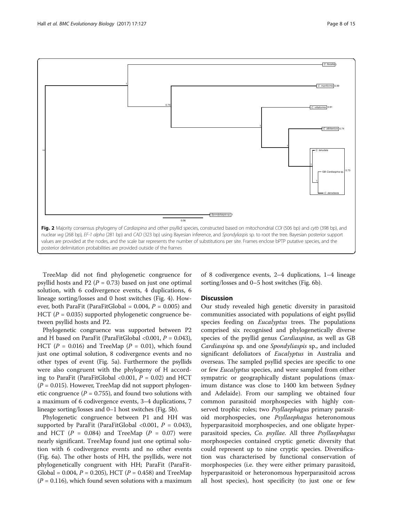<span id="page-7-0"></span>

TreeMap did not find phylogenetic congruence for psyllid hosts and P2 ( $P = 0.73$ ) based on just one optimal solution, with 6 codivergence events, 4 duplications, 6 lineage sorting/losses and 0 host switches (Fig. [4\)](#page-9-0). However, both ParaFit (ParaFitGlobal =  $0.004$ ,  $P = 0.005$ ) and HCT ( $P = 0.035$ ) supported phylogenetic congruence between psyllid hosts and P2.

Phylogenetic congruence was supported between P2 and H based on ParaFit (ParaFitGlobal <0.001,  $P = 0.043$ ), HCT ( $P = 0.016$ ) and TreeMap ( $P = 0.01$ ), which found just one optimal solution, 8 codivergence events and no other types of event (Fig. [5a](#page-10-0)). Furthermore the psyllids were also congruent with the phylogeny of H according to ParaFit (ParaFitGlobal <0.001,  $P = 0.02$ ) and HCT  $(P = 0.015)$ . However, TreeMap did not support phylogenetic congruence ( $P = 0.755$ ), and found two solutions with a maximum of 6 codivergence events, 3–4 duplications, 7 lineage sorting/losses and 0–1 host switches (Fig. [5b](#page-10-0)).

Phylogenetic congruence between P1 and HH was supported by ParaFit (ParaFitGlobal <0.001,  $P = 0.043$ ), and HCT  $(P = 0.084)$  and TreeMap  $(P = 0.07)$  were nearly significant. TreeMap found just one optimal solution with 6 codivergence events and no other events (Fig. [6a\)](#page-10-0). The other hosts of HH, the psyllids, were not phylogenetically congruent with HH; ParaFit (ParaFit-Global = 0.004,  $P = 0.205$ ), HCT ( $P = 0.458$ ) and TreeMap  $(P = 0.116)$ , which found seven solutions with a maximum

of 8 codivergence events, 2–4 duplications, 1–4 lineage sorting/losses and 0–5 host switches (Fig. [6b\)](#page-10-0).

## **Discussion**

Our study revealed high genetic diversity in parasitoid communities associated with populations of eight psyllid species feeding on *Eucalyptus* trees. The populations comprised six recognised and phylogenetically diverse species of the psyllid genus Cardiaspina, as well as GB Cardiaspina sp. and one Spondyliaspis sp., and included significant defoliators of *Eucalyptus* in Australia and overseas. The sampled psyllid species are specific to one or few Eucalyptus species, and were sampled from either sympatric or geographically distant populations (maximum distance was close to 1400 km between Sydney and Adelaide). From our sampling we obtained four common parasitoid morphospecies with highly conserved trophic roles; two Psyllaephagus primary parasitoid morphospecies, one Psyllaephagus heteronomous hyperparasitoid morphospecies, and one obligate hyperparasitoid species, Co. psyllae. All three Psyllaephagus morphospecies contained cryptic genetic diversity that could represent up to nine cryptic species. Diversification was characterised by functional conservation of morphospecies (i.e. they were either primary parasitoid, hyperparasitoid or heteronomous hyperparasitoid across all host species), host specificity (to just one or few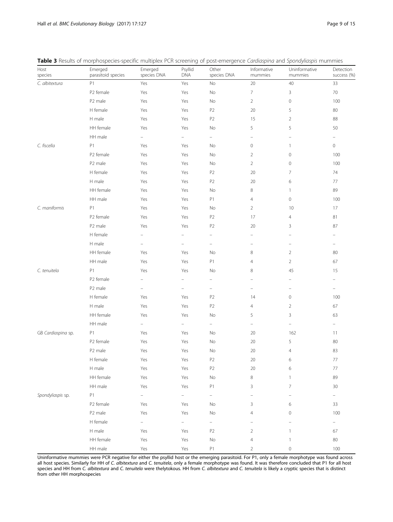| Host<br>species    | the contract of the con-<br>Emerged<br>parasitoid species | Emerged<br>species DNA   | Psyllid<br><b>DNA</b>    | $\tilde{\phantom{a}}$<br>Other<br>species DNA | Informative<br>mummies | $\sim$<br>$\mathbf{r}$<br>Uninformative<br>mummies | Detection<br>success (%) |
|--------------------|-----------------------------------------------------------|--------------------------|--------------------------|-----------------------------------------------|------------------------|----------------------------------------------------|--------------------------|
| C. albitextura     | P1                                                        | Yes                      | Yes                      | No                                            | 20                     | 40                                                 | 33                       |
|                    | P2 female                                                 | Yes                      | Yes                      | No                                            | 7                      | 3                                                  | 70                       |
|                    | P2 male                                                   | Yes                      | Yes                      | <b>No</b>                                     | $\overline{2}$         | $\circ$                                            | 100                      |
|                    | H female                                                  | Yes                      | Yes                      | P <sub>2</sub>                                | 20                     | 5                                                  | 80                       |
|                    | H male                                                    | Yes                      | Yes                      | P <sub>2</sub>                                | 15                     | $\overline{2}$                                     | 88                       |
|                    | HH female                                                 | Yes                      | Yes                      | No                                            | 5                      | 5                                                  | 50                       |
|                    | HH male                                                   | $\overline{\phantom{a}}$ | $\overline{\phantom{a}}$ | $\overline{\phantom{a}}$                      |                        |                                                    | -                        |
| C. fiscella        | P1                                                        | Yes                      | Yes                      | No                                            | $\mathsf{O}\xspace$    | 1                                                  | $\circ$                  |
|                    | P2 female                                                 | Yes                      | Yes                      | No                                            | $\overline{2}$         | 0                                                  | 100                      |
|                    | P2 male                                                   | Yes                      | Yes                      | No                                            | $\overline{2}$         | $\circ$                                            | 100                      |
|                    | H female                                                  | Yes                      | Yes                      | P <sub>2</sub>                                | 20                     | 7                                                  | 74                       |
|                    | H male                                                    | Yes                      | Yes                      | P <sub>2</sub>                                | 20                     | 6                                                  | 77                       |
|                    | HH female                                                 | Yes                      | Yes                      | No                                            | 8                      | 1                                                  | 89                       |
|                    | HH male                                                   | Yes                      | Yes                      | P1                                            | $\overline{4}$         | $\circ$                                            | 100                      |
| C. maniformis      | P1                                                        | Yes                      | Yes                      | No                                            | $\overline{2}$         | 10                                                 | 17                       |
|                    | P2 female                                                 | Yes                      | Yes                      | P <sub>2</sub>                                | 17                     | $\overline{4}$                                     | 81                       |
|                    | P2 male                                                   | Yes                      | Yes                      | P <sub>2</sub>                                | 20                     | 3                                                  | 87                       |
|                    | H female                                                  |                          |                          |                                               |                        |                                                    |                          |
|                    | H male                                                    |                          |                          | $\overline{\phantom{0}}$                      |                        |                                                    |                          |
|                    | HH female                                                 | Yes                      | Yes                      | No                                            | 8                      | 2                                                  | 80                       |
|                    | HH male                                                   | Yes                      | Yes                      | P1                                            | 4                      | $\overline{2}$                                     | 67                       |
| C. tenuitela       | P1                                                        | Yes                      | Yes                      | No                                            | 8                      | 45                                                 | 15                       |
|                    | P2 female                                                 |                          |                          | $\overline{\phantom{0}}$                      |                        |                                                    |                          |
|                    | P2 male                                                   |                          |                          | $\overline{\phantom{0}}$                      |                        | L.                                                 |                          |
|                    | H female                                                  | Yes                      | Yes                      | P <sub>2</sub>                                | 14                     | $\circ$                                            | 100                      |
|                    | H male                                                    | Yes                      | Yes                      | P <sub>2</sub>                                | 4                      | 2                                                  | 67                       |
|                    | HH female                                                 | Yes                      | Yes                      | No                                            | 5                      | 3                                                  | 63                       |
|                    | HH male                                                   | $\overline{\phantom{0}}$ | $\overline{\phantom{0}}$ | $\overline{\phantom{0}}$                      |                        |                                                    | $\overline{\phantom{0}}$ |
| GB Cardiaspina sp. | P1                                                        | Yes                      | Yes                      | No                                            | 20                     | 162                                                | 11                       |
|                    | P2 female                                                 | Yes                      | Yes                      | No                                            | 20                     | 5                                                  | 80                       |
|                    | P2 male                                                   | Yes                      | Yes                      | No                                            | 20                     | 4                                                  | 83                       |
|                    | $H$ female                                                | Yes                      | Yes                      | $\mathsf{P}2$                                 | $20\,$                 | 6                                                  | $77\,$                   |
|                    | H male                                                    | Yes                      | Yes                      | P <sub>2</sub>                                | 20                     | 6                                                  | 77                       |
|                    | HH female                                                 | Yes                      | Yes                      | No                                            | 8                      | 1                                                  | 89                       |
|                    | HH male                                                   | Yes                      | Yes                      | P1                                            | 3                      | 7                                                  | $30\,$                   |
| Spondyliaspis sp.  | P1                                                        | $\overline{\phantom{0}}$ | $\overline{\phantom{0}}$ | $\overline{\phantom{0}}$                      |                        |                                                    | $\qquad \qquad -$        |
|                    | P2 female                                                 | Yes                      | Yes                      | No                                            | 3                      | 6                                                  | 33                       |
|                    | P2 male                                                   | Yes                      | Yes                      | $\rm No$                                      | 4                      | 0                                                  | 100                      |
|                    | H female                                                  | $\overline{\phantom{0}}$ | $\overline{\phantom{a}}$ | $\overline{\phantom{0}}$                      |                        |                                                    | $\overline{\phantom{a}}$ |
|                    | H male                                                    | Yes                      | Yes                      | P <sub>2</sub>                                | 2                      | 1                                                  | 67                       |
|                    | HH female                                                 | Yes                      | Yes                      | $\rm No$                                      | 4                      | 1                                                  | $80\,$                   |
|                    | HH male                                                   | Yes                      | Yes                      | P1                                            | $\overline{2}$         | $\mathbb O$                                        | 100                      |

<span id="page-8-0"></span>

|  | Table 3 Results of morphospecies-specific multiplex PCR screening of post-emergence Cardiaspina and Spondyliaspis mummies |  |  |  |
|--|---------------------------------------------------------------------------------------------------------------------------|--|--|--|
|--|---------------------------------------------------------------------------------------------------------------------------|--|--|--|

Uninformative mummies were PCR negative for either the psyllid host or the emerging parasitoid. For P1, only a female morphotype was found across all host species. Similarly for HH of C. *albitextura* and C. tenuitela, only a female morphotype was found. It was therefore concluded that P1 for all host<br>species and HH from C. albitextura and C. tenuitela were thelytok species and HH from C. *albitextura* and C. tenuitela were thelytokous. HH from C. *albitextura* and C. tenuitela is likely a cryptic species that is distinct<br>from other HH morphospecies from other HH morphospecies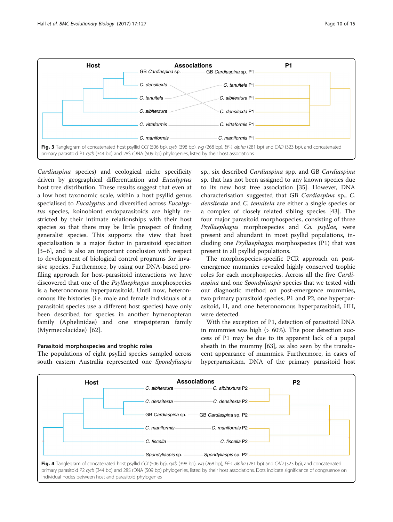

<span id="page-9-0"></span>

Cardiaspina species) and ecological niche specificity driven by geographical differentiation and Eucalyptus host tree distribution. These results suggest that even at a low host taxonomic scale, within a host psyllid genus specialised to *Eucalyptus* and diversified across *Eucalyp*tus species, koinobiont endoparasitoids are highly restricted by their intimate relationships with their host species so that there may be little prospect of finding generalist species. This supports the view that host specialisation is a major factor in parasitoid speciation [[3](#page-13-0)–[6\]](#page-13-0), and is also an important conclusion with respect to development of biological control programs for invasive species. Furthermore, by using our DNA-based profiling approach for host-parasitoid interactions we have discovered that one of the Psyllaephagus morphospecies is a heteronomous hyperparasitoid. Until now, heteronomous life histories (i.e. male and female individuals of a parasitoid species use a different host species) have only been described for species in another hymenopteran family (Aphelinidae) and one strepsipteran family (Myrmecolacidae) [[62\]](#page-14-0).

## Parasitoid morphospecies and trophic roles

The populations of eight psyllid species sampled across south eastern Australia represented one Spondyliaspis

sp., six described Cardiaspina spp. and GB Cardiaspina sp. that has not been assigned to any known species due to its new host tree association [[35\]](#page-13-0). However, DNA characterisation suggested that GB Cardiaspina sp., C. densitexta and C. tenuitela are either a single species or a complex of closely related sibling species [[43\]](#page-14-0). The four major parasitoid morphospecies, consisting of three Psyllaephagus morphospecies and Co. psyllae, were present and abundant in most psyllid populations, including one Psyllaephagus morphospecies (P1) that was present in all psyllid populations.

The morphospecies-specific PCR approach on postemergence mummies revealed highly conserved trophic roles for each morphospecies. Across all the five Cardiaspina and one Spondyliaspis species that we tested with our diagnostic method on post-emergence mummies, two primary parasitoid species, P1 and P2, one hyperparasitoid, H, and one heteronomous hyperparasitoid, HH, were detected.

With the exception of P1, detection of parasitoid DNA in mummies was high  $($  > 60%). The poor detection success of P1 may be due to its apparent lack of a pupal sheath in the mummy [\[63](#page-14-0)], as also seen by the translucent appearance of mummies. Furthermore, in cases of hyperparasitism, DNA of the primary parasitoid host

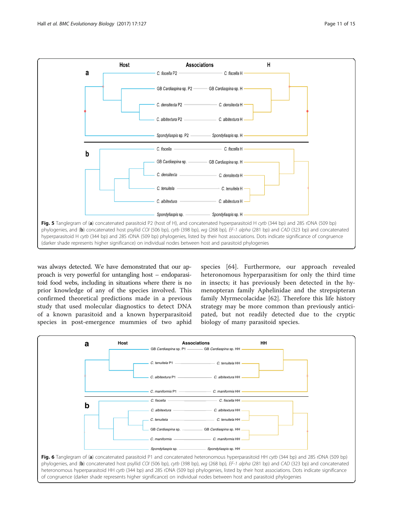<span id="page-10-0"></span>

was always detected. We have demonstrated that our approach is very powerful for untangling host – endoparasitoid food webs, including in situations where there is no prior knowledge of any of the species involved. This confirmed theoretical predictions made in a previous study that used molecular diagnostics to detect DNA of a known parasitoid and a known hyperparasitoid species in post-emergence mummies of two aphid

species [[64\]](#page-14-0). Furthermore, our approach revealed heteronomous hyperparasitism for only the third time in insects; it has previously been detected in the hymenopteran family Aphelinidae and the strepsipteran family Myrmecolacidae [[62\]](#page-14-0). Therefore this life history strategy may be more common than previously anticipated, but not readily detected due to the cryptic biology of many parasitoid species.



phylogenies, and (b) concatenated host psyllid COI (506 bp), cytb (398 bp), wg (268 bp), EF-1 alpha (281 bp) and CAD (323 bp) and concatenated heteronomous hyperparasitoid HH cytb (344 bp) and 28S rDNA (509 bp) phylogenies, listed by their host associations. Dots indicate significance of congruence (darker shade represents higher significance) on individual nodes between host and parasitoid phylogenies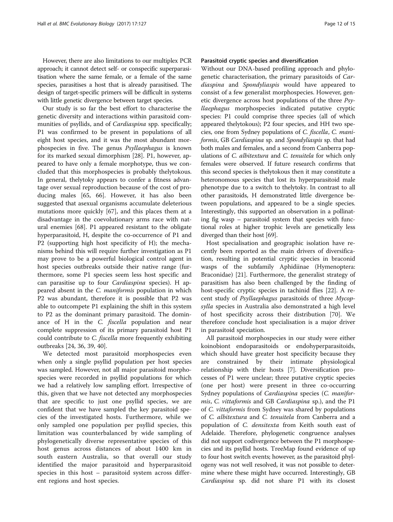However, there are also limitations to our multiplex PCR approach; it cannot detect self- or conspecific superparasitisation where the same female, or a female of the same species, parasitises a host that is already parasitised. The design of target-specific primers will be difficult in systems with little genetic divergence between target species.

Our study is so far the best effort to characterise the genetic diversity and interactions within parasitoid communities of psyllids, and of Cardiaspina spp. specifically; P1 was confirmed to be present in populations of all eight host species, and it was the most abundant morphospecies in five. The genus Psyllaephagus is known for its marked sexual dimorphism [[28\]](#page-13-0). P1, however, appeared to have only a female morphotype, thus we concluded that this morphospecies is probably thelytokous. In general, thelytoky appears to confer a fitness advantage over sexual reproduction because of the cost of producing males [[65, 66](#page-14-0)]. However, it has also been suggested that asexual organisms accumulate deleterious mutations more quickly [[67\]](#page-14-0), and this places them at a disadvantage in the coevolutionary arms race with natural enemies [[68\]](#page-14-0). P1 appeared resistant to the obligate hyperparasitoid, H, despite the co-occurrence of P1 and P2 (supporting high host specificity of H); the mechanisms behind this will require further investigation as P1 may prove to be a powerful biological control agent in host species outbreaks outside their native range (furthermore, some P1 species seem less host specific and can parasitise up to four Cardiaspina species). H appeared absent in the C. maniformis population in which P2 was abundant, therefore it is possible that P2 was able to outcompete P1 explaining the shift in this system to P2 as the dominant primary parasitoid. The dominance of H in the C. fiscella population and near complete suppression of its primary parasitoid host P1 could contribute to C. fiscella more frequently exhibiting outbreaks [[24](#page-13-0), [36](#page-13-0), [39](#page-14-0), [40](#page-14-0)].

We detected most parasitoid morphospecies even when only a single psyllid population per host species was sampled. However, not all major parasitoid morphospecies were recorded in psyllid populations for which we had a relatively low sampling effort. Irrespective of this, given that we have not detected any morphospecies that are specific to just one psyllid species, we are confident that we have sampled the key parasitoid species of the investigated hosts. Furthermore, while we only sampled one population per psyllid species, this limitation was counterbalanced by wide sampling of phylogenetically diverse representative species of this host genus across distances of about 1400 km in south eastern Australia, so that overall our study identified the major parasitoid and hyperparasitoid species in this host – parasitoid system across different regions and host species.

### Parasitoid cryptic species and diversification

Without our DNA-based profiling approach and phylogenetic characterisation, the primary parasitoids of Cardiaspina and Spondyliaspis would have appeared to consist of a few generalist morphospecies. However, genetic divergence across host populations of the three Psyllaephagus morphospecies indicated putative cryptic species: P1 could comprise three species (all of which appeared thelytokous); P2 four species, and HH two species, one from Sydney populations of C. fiscella, C. maniformis, GB Cardiaspina sp. and Spondyliaspis sp. that had both males and females, and a second from Canberra populations of C. albitextura and C. tenuitela for which only females were observed. If future research confirms that this second species is thelytokous then it may constitute a heteronomous species that lost its hyperparasitoid male phenotype due to a switch to thelytoky. In contrast to all other parasitoids, H demonstrated little divergence between populations, and appeared to be a single species. Interestingly, this supported an observation in a pollinating fig wasp – parasitoid system that species with functional roles at higher trophic levels are genetically less diverged than their host [\[69\]](#page-14-0).

Host specialisation and geographic isolation have recently been reported as the main drivers of diversification, resulting in potential cryptic species in braconid wasps of the subfamily Aphidiinae (Hymenoptera: Braconidae) [[21\]](#page-13-0). Furthermore, the generalist strategy of parasitism has also been challenged by the finding of host-specific cryptic species in tachinid flies [[22\]](#page-13-0). A recent study of Psyllaephagus parasitoids of three Mycopsylla species in Australia also demonstrated a high level of host specificity across their distribution [[70\]](#page-14-0). We therefore conclude host specialisation is a major driver in parasitoid speciation.

All parasitoid morphospecies in our study were either koinobiont endoparasitoids or endohyperparasitoids, which should have greater host specificity because they are constrained by their intimate physiological relationship with their hosts [\[7](#page-13-0)]. Diversification processes of P1 were unclear; three putative cryptic species (one per host) were present in three co-occurring Sydney populations of Cardiaspina species (C. maniformis, C. vittaformis and GB Cardiaspina sp.), and the P1 of C. vittaformis from Sydney was shared by populations of C. albitextura and C. tenuitela from Canberra and a population of C. densitexta from Keith south east of Adelaide. Therefore, phylogenetic congruence analyses did not support codivergence between the P1 morphospecies and its psyllid hosts. TreeMap found evidence of up to four host switch events; however, as the parasitoid phylogeny was not well resolved, it was not possible to determine where these might have occurred. Interestingly, GB Cardiaspina sp. did not share P1 with its closest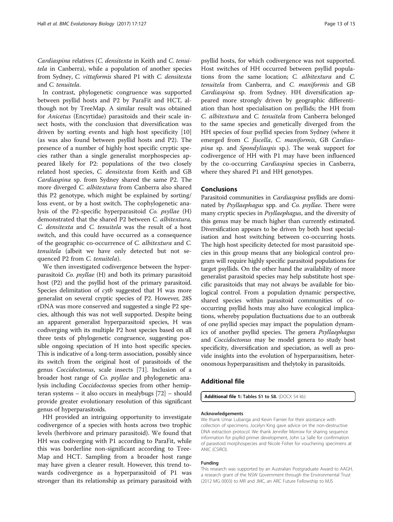<span id="page-12-0"></span>Cardiaspina relatives (C. densitexta in Keith and C. tenuitela in Canberra), while a population of another species from Sydney, C. vittaformis shared P1 with C. densitexta and C. tenuitela.

In contrast, phylogenetic congruence was supported between psyllid hosts and P2 by ParaFit and HCT, although not by TreeMap. A similar result was obtained for Anicetus (Encyrtidae) parasitoids and their scale insect hosts, with the conclusion that diversification was driven by sorting events and high host specificity [[10](#page-13-0)] (as was also found between psyllid hosts and P2). The presence of a number of highly host specific cryptic species rather than a single generalist morphospecies appeared likely for P2: populations of the two closely related host species, C. densitexta from Keith and GB Cardiaspina sp. from Sydney shared the same P2. The more diverged C. albitextura from Canberra also shared this P2 genotype, which might be explained by sorting/ loss event, or by a host switch. The cophylogenetic analysis of the P2-specific hyperparasitoid Co. psyllae (H) demonstrated that the shared P2 between C. albitextura, C. densitexta and C. tenuitela was the result of a host switch, and this could have occurred as a consequence of the geographic co-occurrence of C. albitextura and C. tenuitela (albeit we have only detected but not sequenced P2 from C. tenuitela).

We then investigated codivergence between the hyperparasitoid Co. psyllae (H) and both its primary parasitoid host (P2) and the psyllid host of the primary parasitoid. Species delimitation of cytb suggested that H was more generalist on several cryptic species of P2. However, 28S rDNA was more conserved and suggested a single P2 species, although this was not well supported. Despite being an apparent generalist hyperparasitoid species, H was codiverging with its multiple P2 host species based on all three tests of phylogenetic congruence, suggesting possible ongoing speciation of H into host specific species. This is indicative of a long-term association, possibly since its switch from the original host of parasitoids of the genus Coccidoctonus, scale insects [\[71\]](#page-14-0). Inclusion of a broader host range of Co. psyllae and phylogenetic analysis including Coccidoctonus species from other hemipteran systems – it also occurs in mealybugs [[72\]](#page-14-0) – should provide greater evolutionary resolution of this significant genus of hyperparasitoids.

HH provided an intriguing opportunity to investigate codivergence of a species with hosts across two trophic levels (herbivore and primary parasitoid). We found that HH was codiverging with P1 according to ParaFit, while this was borderline non-significant according to Tree-Map and HCT. Sampling from a broader host range may have given a clearer result. However, this trend towards codivergence as a hyperparasitoid of P1 was stronger than its relationship as primary parasitoid with psyllid hosts, for which codivergence was not supported. Host switches of HH occurred between psyllid populations from the same location; C. albitextura and C. tenuitela from Canberra, and C. maniformis and GB Cardiaspina sp. from Sydney. HH diversification appeared more strongly driven by geographic differentiation than host specialisation on psyllids; the HH from C. albitextura and C. tenuitela from Canberra belonged to the same species and genetically diverged from the HH species of four psyllid species from Sydney (where it emerged from C. fiscella, C. maniformis, GB Cardiaspina sp. and Spondyliaspis sp.). The weak support for codivergence of HH with P1 may have been influenced by the co-occurring Cardiaspina species in Canberra, where they shared P1 and HH genotypes.

#### Conclusions

Parasitoid communities in Cardiaspina psyllids are dominated by Psyllaephagus spp. and Co. psyllae. There were many cryptic species in *Psyllaephagus*, and the diversity of this genus may be much higher than currently estimated. Diversification appears to be driven by both host specialisation and host switching between co-occurring hosts. The high host specificity detected for most parasitoid species in this group means that any biological control program will require highly specific parasitoid populations for target psyllids. On the other hand the availability of more generalist parasitoid species may help substitute host specific parasitoids that may not always be available for biological control. From a population dynamic perspective, shared species within parasitoid communities of cooccurring psyllid hosts may also have ecological implications, whereby population fluctuations due to an outbreak of one psyllid species may impact the population dynamics of another psyllid species. The genera Psyllaephagus and Coccidoctonus may be model genera to study host specificity, diversification and speciation, as well as provide insights into the evolution of hyperparasitism, heteronomous hyperparasitism and thelytoky in parasitoids.

## Additional file

[Additional file 1:](dx.doi.org/10.1186/s12862-017-0959-2) Tables S1 to S8. (DOCX 54 kb)

#### Acknowledgements

We thank Umar Lubanga and Kevin Farnier for their assistance with collection of specimens. Jocelyn King gave advice on the non-destructive DNA extraction protocol. We thank Jennifer Morrow for sharing sequence information for psyllid primer development, John La Salle for confirmation of parasitoid morphospecies and Nicole Fisher for vouchering specimens at ANIC (CSIRO).

#### Funding

This research was supported by an Australian Postgraduate Award to AAGH, a research grant of the NSW Government through the Environmental Trust (2012 MG 0003) to MR and JMC, an ARC Future Fellowship to MJS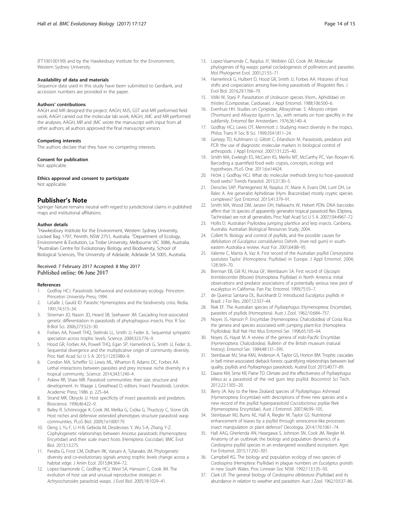<span id="page-13-0"></span>(FT100100199) and by the Hawkesbury Institute for the Environment, Western Sydney University.

#### Availability of data and materials

Sequence data used in this study have been submitted to GenBank, and accession numbers are provided in the paper.

#### Authors' contributions

AAGH and MR designed the project; AAGH, MJS, GST and MR performed field work; AAGH carried out the molecular lab work; AAGH, JMC and MR performed the analyses; AAGH, MR and JMC wrote the manuscript with input from all other authors; all authors approved the final manuscript version.

#### Competing interests

The authors declare that they have no competing interests.

#### Consent for publication

Not applicable.

#### Ethics approval and consent to participate

Not applicable.

## Publisher's Note

Springer Nature remains neutral with regard to jurisdictional claims in published maps and institutional affiliations.

#### Author details

<sup>1</sup> Hawkesbury Institute for the Environment, Western Sydney University, Locked Bag 1797, Penrith, NSW 2751, Australia. <sup>2</sup>Department of Ecology, Environment & Evolution, La Trobe University, Melbourne VIC 3086, Australia. <sup>3</sup> Australian Centre for Evolutionary Biology and Biodiversity, School of Biological Sciences, The University of Adelaide, Adelaide SA 5005, Australia.

#### Received: 7 February 2017 Accepted: 8 May 2017 Published online: 06 June 2017

#### References

- 1. Godfray HCJ. Parasitoids: behavioral and evolutionary ecology. Princeton: Princeton University Press; 1994.
- LaSalle J, Gauld ID. Parasitic Hymenoptera and the biodiversity crisis. Redia. 1991;74:315–34.
- 3. Stireman JO, Nason JD, Heard SB, Seehawer JM. Cascading host-associated genetic differentiation in parasitoids of phytophagous insects. Proc R Soc B-Biol Sci. 2006;273:523–30.
- 4. Forbes AA, Powell THQ, Stelinski LL, Smith JJ, Feder JL. Sequential sympatric speciation across trophic levels. Science. 2009;323:776–9.
- 5. Hood GR, Forbes AA, Powell THQ, Egan SP, Hamerlinck G, Smith JJ, Feder JL. Sequential divergence and the multiplicative origin of community diversity. Proc Natl Acad Sci U S A. 2015;112:E5980–9.
- 6. Condon MA, Scheffer SJ, Lewis ML, Wharton R, Adams DC, Forbes AA. Lethal interactions between parasites and prey increase niche diversity in a tropical community. Science. 2014;343:1240–4.
- 7. Askew RR, Shaw MR. Parasitoid communities: their size, structure and development. In: Waage J, Greathead D, editors. Insect Parasitoids. London: Academic Press; 1986. p. 225–64.
- 8. Strand MR, Obrycki JJ. Host specificity of insect parasitoids and predators. Bioscience. 1996;46:422–9.
- 9. Bailey R, Schönrogge K, Cook JM, Melika G, Csóka G, Thuróczy C, Stone GN. Host niches and defensive extended phenotypes structure parasitoid wasp communities. PLoS Biol. 2009;7:e1000179.
- 10. Deng J, Yu F, Li H-B, Gebiola M, Desdevises Y, Wu S-A, Zhang Y-Z. Cophylogenetic relationships between Anicetus parasitoids (Hymenoptera: Encyrtidae) and their scale insect hosts (Hemiptera: Coccidae). BMC Evol Biol. 2013;13:275.
- 11. Peralta G, Frost CM, Didham RK, Varsani A, Tylianakis JM. Phylogenetic diversity and co-evolutionary signals among trophic levels change across a habitat edge. J Anim Ecol. 2015;84:364–72.
- 12. Lopez-Vaamonde C, Godfray HCJ, West SA, Hansson C, Cook JM. The evolution of host use and unusual reproductive strategies in Achrysocharoides parasitoid wasps. J Evol Biol. 2005;18:1029–41.
- 13. Lopez-Vaamonde C, Rasplus JY, Weiblen GD, Cook JM. Molecular phylogenies of fig wasps: partial cocladogenesis of pollinators and parasites. Mol Phylogenet Evol. 2001;21:55–71.
- 14. Hamerlinck G, Hulbert D, Hood GR, Smith JJ, Forbes AA. Histories of host shifts and cospeciation among free-living parasitoids of Rhagoletis flies. J Evol Biol. 2016;29:1766–79.
- 15. Völkl W, Starý P. Parasitation of Uroleucon species (Hom., Aphididae) on thistles (Compositae, Cardueae). J Appl Entomol. 1988;106:500–6.
- 16. Evenhuis HH. Studies on Cynipidae, Alloxystinae. 5. Alloxysta citripes (Thomson) and Alloxysta ligustri n. Sp., with remarks on host specifity in the subfamily. Entomol Ber Amsterdam. 1976;36:140–4.
- 17. Godfray HCJ, Lewis OT, Memmott J. Studying insect diversity in the tropics. Philos Trans R Soc B Sci. 1999;354:1811–24.
- 18. Gariepy TD, Kuhlmann U, Gillott C, Erlandson M. Parasitoids, predators and PCR: the use of diagnostic molecular markers in biological control of arthropods. J Appl Entomol. 2007;131:225–40.
- 19. Smith MA, Eveleigh ES, McCann KS, Merilo MT, McCarthy PC, Van Rooyen KI. Barcoding a quantified food web: crypsis, concepts, ecology and hypotheses. PLoS One. 2011;6:e14424.
- 20. Hrček J, Godfray HCJ. What do molecular methods bring to host–parasitoid food webs? Trends Parasitol. 2015;31:30–5.
- 21. Derocles SAP, Plantegenest M, Rasplus JY, Marie A, Evans DM, Lunt DH, Le Ralec A. Are generalist Aphidiinae (Hym. Braconidae) mostly cryptic species complexes? Syst Entomol. 2015;41:379–91.
- 22. Smith MA, Wood DM, Janzen DH, Hallwachs W, Hebert PDN. DNA barcodes affirm that 16 species of apparently generalist tropical parasitoid flies (Diptera, Tachinidae) are not all generalists. Proc Natl Acad Sci U S A. 2007;104:4967–72.
- 23. Hollis D. Australian Psylloidea jumping plantlice and lerp insects. Canberra, Australia: Australian Biological Resources Study; 2004.
- 24. Collett N. Biology and control of psyllids, and the possible causes for defoliation of Eucalyptus camaldulensis Dehnh. (river red gum) in southeastern Australia-a review. Aust For. 2001;64:88–95.
- 25. Valente C, Manta A, Vaz A. First record of the Australian psyllid Ctenarytaina spatulata Taylor (Homoptera: Psyllidae) in Europe. J Appl Entomol. 2004; 128:369–70.
- 26. Brennan EB, Gill RJ, Hrusa GF, Weinbaum SA. First record of Glycaspis brimblecombei (Moore) (Homoptera: Psyllidae) in North America: initial observations and predator associations of a potentially serious new pest of eucalyptus in California. Pan Pac Entomol. 1999;75:55–7.
- 27. de Queiroz Santana DL, Burckhardt D. Introduced Eucalyptus psyllids in Brazil. J For Res. 2007;12:337–44.
- 28. Riek EF. The Australian species of Psyllaephagus (Hymenoptera: Encyrtidae), parasites of psyllids (Homoptera). Aust J Zool. 1962;10:684–757.
- 29. Noyes JS, Hanson P. Encyrtidae (Hymenoptera: Chalcidoidea) of Costa Rica: the genera and species associated with jumping plant-lice (Homoptera: Psylloidea). Bull Nat Hist Mus Entomol Ser. 1996;65:105–64.
- 30. Noyes JS, Hayat M. A review of the genera of indo-Pacific Encyrtidae (Hymenoptera: Chalcidoidea). Bulletin of the British museum (natural history). Entomol Ser. 1984;48:131–395.
- 31. Steinbauer MJ, Sinai KMJ, Anderson A, Taylor GS, Horton BM. Trophic cascades in bell miner-associated dieback forests: quantifying relationships between leaf quality, psyllids and Psyllaephagus parasitoids. Austral Ecol. 2015;40:77–89.
- 32. Daane KM, Sime KR, Paine TD. Climate and the effectiveness of Psyllaephagus bliteus as a parasitoid of the red gum lerp psyllid. Biocontrol Sci Tech. 2012;22:1305–20.
- 33. Berry JA. Key to the New Zealand species of Psyllaephagus Ashmead (Hymenoptera: Encyrtidae) with descriptions of three new species and a new record of the psyllid hyperparasitoid Coccidoctonus psyllae Riek (Hymenoptera: Encyrtidae). Aust J Entomol. 2007;46:99–105.
- 34. Steinbauer MJ, Burns AE, Hall A, Riegler M, Taylor GS. Nutritional enhancement of leaves by a psyllid through senescence-like processes: insect manipulation or plant defence? Oecologia. 2014;176:1061–74.
- 35. Hall AAG, Gherlenda AN, Hasegawa S, Johnson SN, Cook JM, Riegler M. Anatomy of an outbreak: the biology and population dynamics of a Cardiaspina psyllid species in an endangered woodland ecosystem. Agric For Entomol. 2015;17:292–301.
- 36. Campbell KG. The biology and population ecology of two species of Cardiaspina (Hemiptera: Psyllidae) in plague numbers on Eucalyptus grandis in new South Wales. Proc Linnean Soc NSW. 1992;113:135–50.
- 37. Clark LR. The general biology of Cardiaspina albitextura (Psyllidae) and its abundance in relation to weather and parasitism. Aust J Zool. 1962;10:537–86.